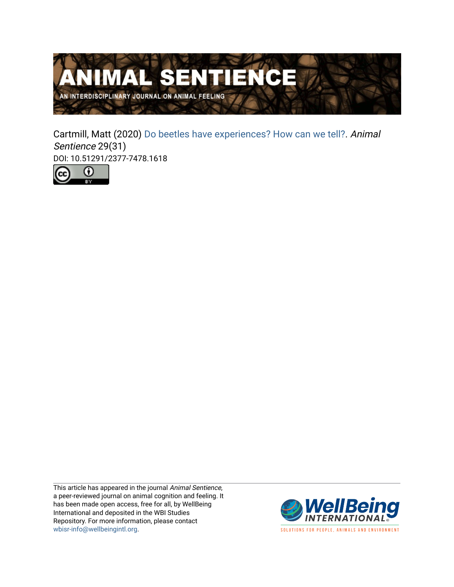

Cartmill, Matt (2020) [Do beetles have experiences? How can we tell?.](https://www.wellbeingintlstudiesrepository.org/animsent/vol5/iss29/31) Animal Sentience 29(31) DOI: 10.51291/2377-7478.1618



This article has appeared in the journal Animal Sentience, a peer-reviewed journal on animal cognition and feeling. It has been made open access, free for all, by WellBeing International and deposited in the WBI Studies Repository. For more information, please contact [wbisr-info@wellbeingintl.org](mailto:wbisr-info@wellbeingintl.org).



SOLUTIONS FOR PEOPLE, ANIMALS AND ENVIRONMENT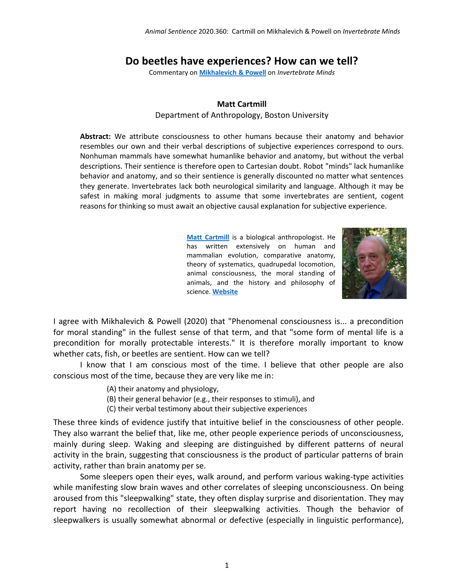## **Do beetles have experiences? How can we tell?**

Commentary on **[Mikhalevich & Powell](https://animalstudiesrepository.org/animsent/vol5/iss29/1/)** on *Invertebrate Minds*

## **Matt Cartmill**

Department of Anthropology, Boston University

**Abstract:** We attribute consciousness to other humans because their anatomy and behavior resembles our own and their verbal descriptions of subjective experiences correspond to ours. Nonhuman mammals have somewhat humanlike behavior and anatomy, but without the verbal descriptions. Their sentience is therefore open to Cartesian doubt. Robot "minds" lack humanlike behavior and anatomy, and so their sentience is generally discounted no matter what sentences they generate. Invertebrates lack both neurological similarity and language. Although it may be safest in making moral judgments to assume that some invertebrates are sentient, cogent reasons for thinking so must await an objective causal explanation for subjective experience.

> **[Matt Cartmill](http://cartmill@bu.edu)** is a biological anthropologist. He has written extensively on human and mammalian evolution, comparative anatomy, theory of systematics, quadrupedal locomotion, animal consciousness, the moral standing of animals, and the history and philosophy of science. **[Website](http://www.bu.edu/anthrop/people/faculty/m-cartmill/)**



I agree with Mikhalevich & Powell (2020) that "Phenomenal consciousness is... a precondition for moral standing" in the fullest sense of that term, and that "some form of mental life is a precondition for morally protectable interests." It is therefore morally important to know whether cats, fish, or beetles are sentient. How can we tell?

I know that I am conscious most of the time. I believe that other people are also conscious most of the time, because they are very like me in:

- (A) their anatomy and physiology,
- (B) their general behavior (e.g., their responses to stimuli), and
- (C) their verbal testimony about their subjective experiences

These three kinds of evidence justify that intuitive belief in the consciousness of other people. They also warrant the belief that, like me, other people experience periods of unconsciousness, mainly during sleep. Waking and sleeping are distinguished by different patterns of neural activity in the brain, suggesting that consciousness is the product of particular patterns of brain activity, rather than brain anatomy per se.

Some sleepers open their eyes, walk around, and perform various waking-type activities while manifesting slow brain waves and other correlates of sleeping unconsciousness. On being aroused from this "sleepwalking" state, they often display surprise and disorientation. They may report having no recollection of their sleepwalking activities. Though the behavior of sleepwalkers is usually somewhat abnormal or defective (especially in linguistic performance),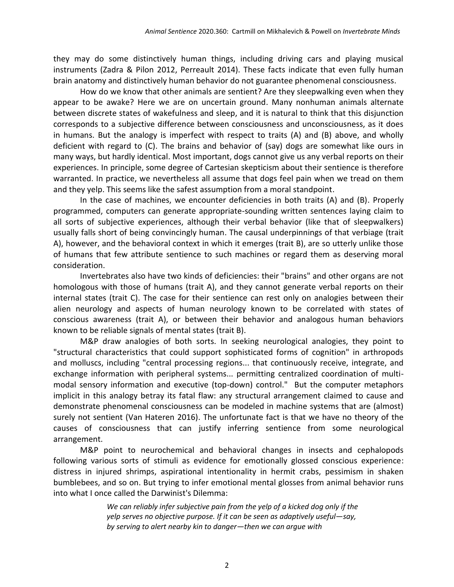they may do some distinctively human things, including driving cars and playing musical instruments (Zadra & Pilon 2012, Perreault 2014). These facts indicate that even fully human brain anatomy and distinctively human behavior do not guarantee phenomenal consciousness.

How do we know that other animals are sentient? Are they sleepwalking even when they appear to be awake? Here we are on uncertain ground. Many nonhuman animals alternate between discrete states of wakefulness and sleep, and it is natural to think that this disjunction corresponds to a subjective difference between consciousness and unconsciousness, as it does in humans. But the analogy is imperfect with respect to traits (A) and (B) above, and wholly deficient with regard to (C). The brains and behavior of (say) dogs are somewhat like ours in many ways, but hardly identical. Most important, dogs cannot give us any verbal reports on their experiences. In principle, some degree of Cartesian skepticism about their sentience is therefore warranted. In practice, we nevertheless all assume that dogs feel pain when we tread on them and they yelp. This seems like the safest assumption from a moral standpoint.

In the case of machines, we encounter deficiencies in both traits (A) and (B). Properly programmed, computers can generate appropriate-sounding written sentences laying claim to all sorts of subjective experiences, although their verbal behavior (like that of sleepwalkers) usually falls short of being convincingly human. The causal underpinnings of that verbiage (trait A), however, and the behavioral context in which it emerges (trait B), are so utterly unlike those of humans that few attribute sentience to such machines or regard them as deserving moral consideration.

Invertebrates also have two kinds of deficiencies: their "brains" and other organs are not homologous with those of humans (trait A), and they cannot generate verbal reports on their internal states (trait C). The case for their sentience can rest only on analogies between their alien neurology and aspects of human neurology known to be correlated with states of conscious awareness (trait A), or between their behavior and analogous human behaviors known to be reliable signals of mental states (trait B).

M&P draw analogies of both sorts. In seeking neurological analogies, they point to "structural characteristics that could support sophisticated forms of cognition" in arthropods and molluscs, including "central processing regions... that continuously receive, integrate, and exchange information with peripheral systems... permitting centralized coordination of multimodal sensory information and executive (top-down) control." But the computer metaphors implicit in this analogy betray its fatal flaw: any structural arrangement claimed to cause and demonstrate phenomenal consciousness can be modeled in machine systems that are (almost) surely not sentient (Van Hateren 2016). The unfortunate fact is that we have no theory of the causes of consciousness that can justify inferring sentience from some neurological arrangement.

M&P point to neurochemical and behavioral changes in insects and cephalopods following various sorts of stimuli as evidence for emotionally glossed conscious experience: distress in injured shrimps, aspirational intentionality in hermit crabs, pessimism in shaken bumblebees, and so on. But trying to infer emotional mental glosses from animal behavior runs into what I once called the Darwinist's Dilemma:

> *We can reliably infer subjective pain from the yelp of a kicked dog only if the yelp serves no objective purpose. If it can be seen as adaptively useful—say, by serving to alert nearby kin to danger—then we can argue with*